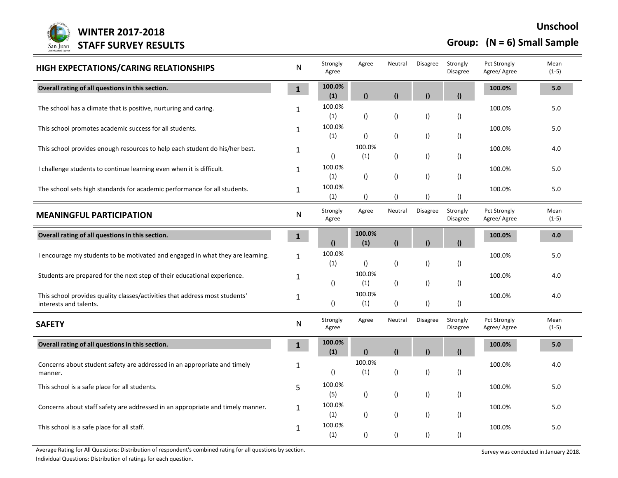

**Group: (N = 6) Small Sample**

| HIGH EXPECTATIONS/CARING RELATIONSHIPS                                                                | ${\sf N}$    | Strongly<br>Agree | Agree            | Neutral          | Disagree         | Strongly<br>Disagree        | Pct Strongly<br>Agree/ Agree        | Mean<br>$(1-5)$ |
|-------------------------------------------------------------------------------------------------------|--------------|-------------------|------------------|------------------|------------------|-----------------------------|-------------------------------------|-----------------|
| Overall rating of all questions in this section.                                                      | $\mathbf{1}$ | 100.0%<br>(1)     | $\mathbf{r}$     | $\mathbf{0}$     | $\mathbf{0}$     | $\Omega$                    | 100.0%                              | 5.0             |
| The school has a climate that is positive, nurturing and caring.                                      | 1            | 100.0%<br>(1)     | $\left( \right)$ | $\left( \right)$ | $\left( \right)$ | $\left( \right)$            | 100.0%                              | 5.0             |
| This school promotes academic success for all students.                                               | $\mathbf{1}$ | 100.0%<br>(1)     | $\left( \right)$ | $\left( \right)$ | $\left( \right)$ | $\left( \right)$            | 100.0%                              | 5.0             |
| This school provides enough resources to help each student do his/her best.                           | 1            | ()                | 100.0%<br>(1)    | $\left( \right)$ | $\left( \right)$ | $\left( \right)$            | 100.0%                              | 4.0             |
| I challenge students to continue learning even when it is difficult.                                  | 1            | 100.0%<br>(1)     | $\left( \right)$ | $\left( \right)$ | $\left( \right)$ | $\left( \right)$            | 100.0%                              | $5.0$           |
| The school sets high standards for academic performance for all students.                             | $\mathbf{1}$ | 100.0%<br>(1)     | $\left( \right)$ | $\left( \right)$ | $\left( \right)$ | ()                          | 100.0%                              | $5.0\,$         |
| <b>MEANINGFUL PARTICIPATION</b>                                                                       | ${\sf N}$    | Strongly<br>Agree | Agree            | Neutral          | Disagree         | Strongly<br><b>Disagree</b> | <b>Pct Strongly</b><br>Agree/ Agree | Mean<br>$(1-5)$ |
| Overall rating of all questions in this section.                                                      | $\mathbf{1}$ | $\mathbf{r}$      | 100.0%<br>(1)    | $\theta$         | $\mathbf{0}$     | $\theta$                    | 100.0%                              | 4.0             |
| I encourage my students to be motivated and engaged in what they are learning.                        | $\mathbf{1}$ | 100.0%<br>(1)     | $\left( \right)$ | $\left( \right)$ | $\left( \right)$ | ()                          | 100.0%                              | 5.0             |
| Students are prepared for the next step of their educational experience.                              | 1            | $\left( \right)$  | 100.0%<br>(1)    | $\left( \right)$ | $\left( \right)$ | $\left( \right)$            | 100.0%                              | 4.0             |
| This school provides quality classes/activities that address most students'<br>interests and talents. | $\mathbf{1}$ | $\left( \right)$  | 100.0%<br>(1)    | ()               | $\left( \right)$ | $\left( \right)$            | 100.0%                              | 4.0             |
| <b>SAFETY</b>                                                                                         | ${\sf N}$    | Strongly<br>Agree | Agree            | Neutral          | Disagree         | Strongly<br>Disagree        | <b>Pct Strongly</b><br>Agree/ Agree | Mean<br>$(1-5)$ |
| Overall rating of all questions in this section.                                                      | $\mathbf{1}$ | 100.0%<br>(1)     | $\mathbf{r}$     | $\theta$         | $\mathbf{0}$     | $\Omega$                    | 100.0%                              | 5.0             |
| Concerns about student safety are addressed in an appropriate and timely<br>manner.                   | 1            | $\left( \right)$  | 100.0%<br>(1)    | $\left( \right)$ | $\left( \right)$ | $\left( \right)$            | 100.0%                              | 4.0             |
| This school is a safe place for all students.                                                         | 5            | 100.0%<br>(5)     | $\left( \right)$ | $\left( \right)$ | $\left( \right)$ | $\left( \right)$            | 100.0%                              | 5.0             |
| Concerns about staff safety are addressed in an appropriate and timely manner.                        | 1            | 100.0%<br>(1)     | $\left( \right)$ | $\left( \right)$ | $\left( \right)$ | $\left( \right)$            | 100.0%                              | $5.0\,$         |
| This school is a safe place for all staff.                                                            | 1            | 100.0%<br>(1)     | $\left( \right)$ | $\left( \right)$ | $\left( \right)$ | $\left( \right)$            | 100.0%                              | 5.0             |

Average Rating for All Questions: Distribution of respondent's combined rating for all questions by section.<br>
Survey was conducted in January 2018.

Individual Questions: Distribution of ratings for each question.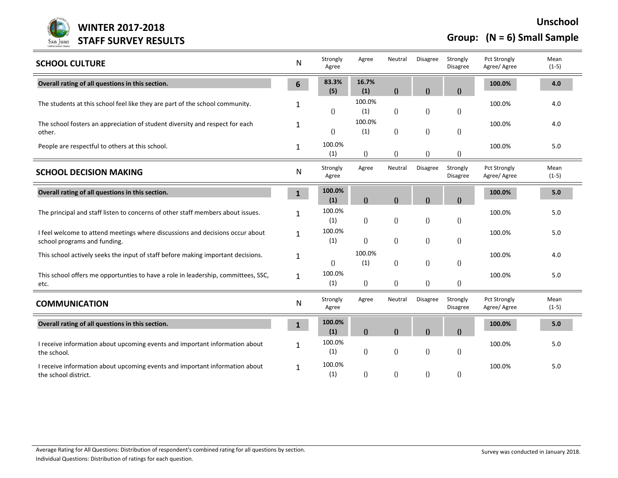

**Unschool WINTER 2017-2018 Group: (N = 6) Small Sample**

| <b>SCHOOL CULTURE</b>                                                                                         | N              | Strongly<br>Agree | Agree            | Neutral          | Disagree         | Strongly<br>Disagree        | <b>Pct Strongly</b><br>Agree/ Agree | Mean<br>$(1-5)$ |
|---------------------------------------------------------------------------------------------------------------|----------------|-------------------|------------------|------------------|------------------|-----------------------------|-------------------------------------|-----------------|
| Overall rating of all questions in this section.                                                              | $6\phantom{1}$ | 83.3%<br>(5)      | 16.7%<br>(1)     | $\theta$         | $\mathbf{0}$     | $\Omega$                    | 100.0%                              | 4.0             |
| The students at this school feel like they are part of the school community.                                  | 1              | $\left( \right)$  | 100.0%<br>(1)    | $\left( \right)$ | $\left(\right)$  | $\left( \right)$            | 100.0%                              | 4.0             |
| The school fosters an appreciation of student diversity and respect for each<br>other.                        | 1              | $\left( \right)$  | 100.0%<br>(1)    | $\left( \right)$ | $\left( \right)$ | $\left( \right)$            | 100.0%                              | 4.0             |
| People are respectful to others at this school.                                                               | $\mathbf{1}$   | 100.0%<br>(1)     | $\left( \right)$ | $\left( \right)$ | $\left( \right)$ | $\theta$                    | 100.0%                              | 5.0             |
| <b>SCHOOL DECISION MAKING</b>                                                                                 | N              | Strongly<br>Agree | Agree            | Neutral          | Disagree         | Strongly<br><b>Disagree</b> | <b>Pct Strongly</b><br>Agree/ Agree | Mean<br>$(1-5)$ |
| Overall rating of all questions in this section.                                                              | $\mathbf{1}$   | 100.0%<br>(1)     | $\theta$         | $\theta$         | $\mathbf{0}$     | $\Omega$                    | 100.0%                              | 5.0             |
| The principal and staff listen to concerns of other staff members about issues.                               | 1              | 100.0%<br>(1)     | $\left( \right)$ | $\left( \right)$ | $\left( \right)$ | $\left( \right)$            | 100.0%                              | 5.0             |
| I feel welcome to attend meetings where discussions and decisions occur about<br>school programs and funding. | $\mathbf{1}$   | 100.0%<br>(1)     | $\left( \right)$ | $\left( \right)$ | $\left( \right)$ | $\left( \right)$            | 100.0%                              | 5.0             |
| This school actively seeks the input of staff before making important decisions.                              | 1              | ()                | 100.0%<br>(1)    | ()               | $\left( \right)$ | $\left( \right)$            | 100.0%                              | 4.0             |
| This school offers me opportunties to have a role in leadership, committees, SSC,<br>etc.                     | $\mathbf{1}$   | 100.0%<br>(1)     | $\left( \right)$ | $\left( \right)$ | $\left(\right)$  | $\left( \right)$            | 100.0%                              | 5.0             |
| <b>COMMUNICATION</b>                                                                                          | ${\sf N}$      | Strongly<br>Agree | Agree            | Neutral          | <b>Disagree</b>  | Strongly<br>Disagree        | Pct Strongly<br>Agree/ Agree        | Mean<br>$(1-5)$ |
| Overall rating of all questions in this section.                                                              | $\mathbf{1}$   | 100.0%<br>(1)     | $\mathbf{r}$     | $\theta$         | $\mathbf{0}$     | $\mathbf{r}$                | 100.0%                              | 5.0             |
| I receive information about upcoming events and important information about<br>the school.                    | 1              | 100.0%<br>(1)     | $\left( \right)$ | $\left( \right)$ | $\left( \right)$ | ()                          | 100.0%                              | 5.0             |
| I receive information about upcoming events and important information about<br>the school district.           | 1              | 100.0%<br>(1)     | ()               | ()               | $\left( \right)$ | ()                          | 100.0%                              | 5.0             |